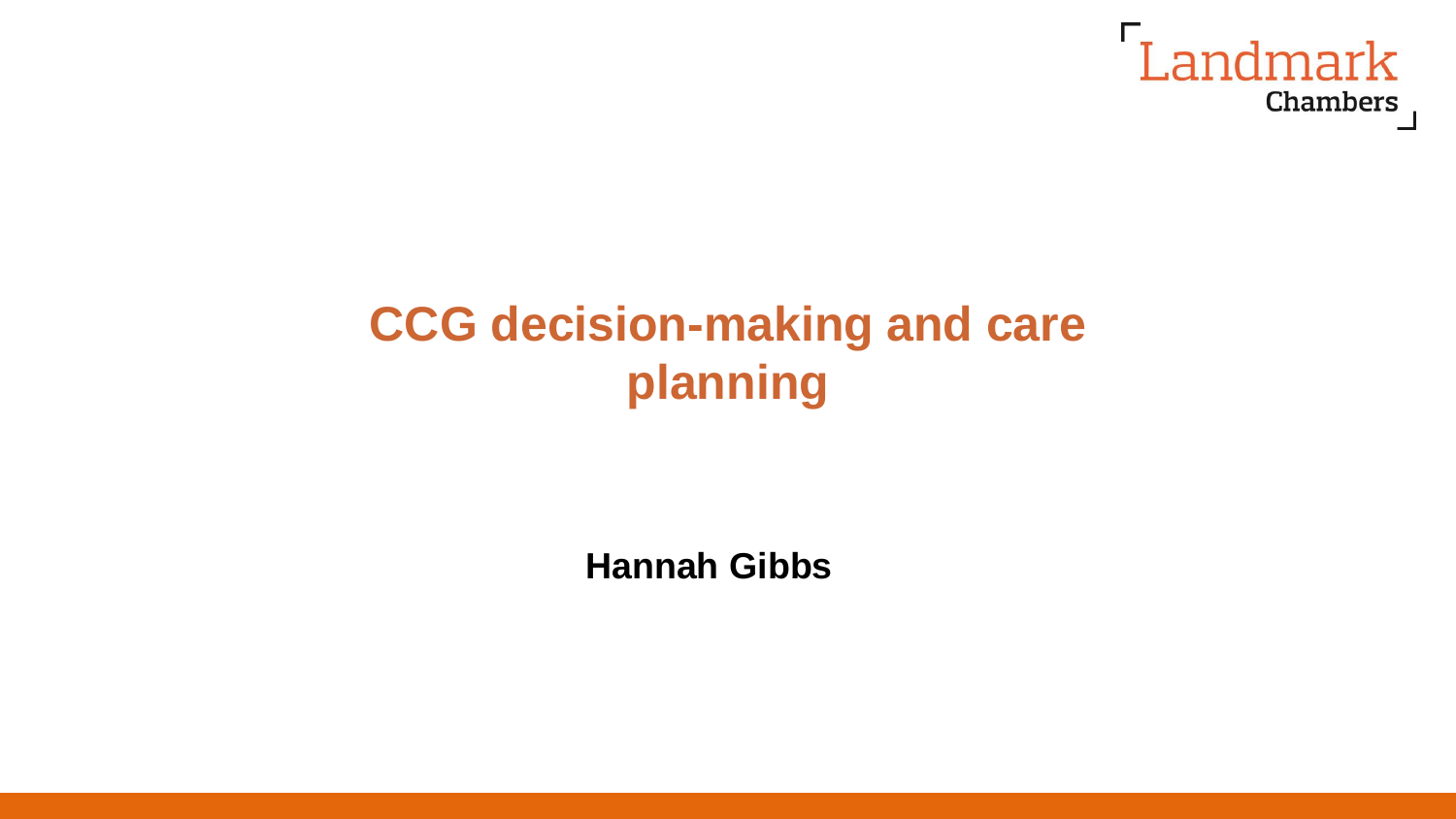

# **CCG decision-making and care planning**

**Hannah Gibbs**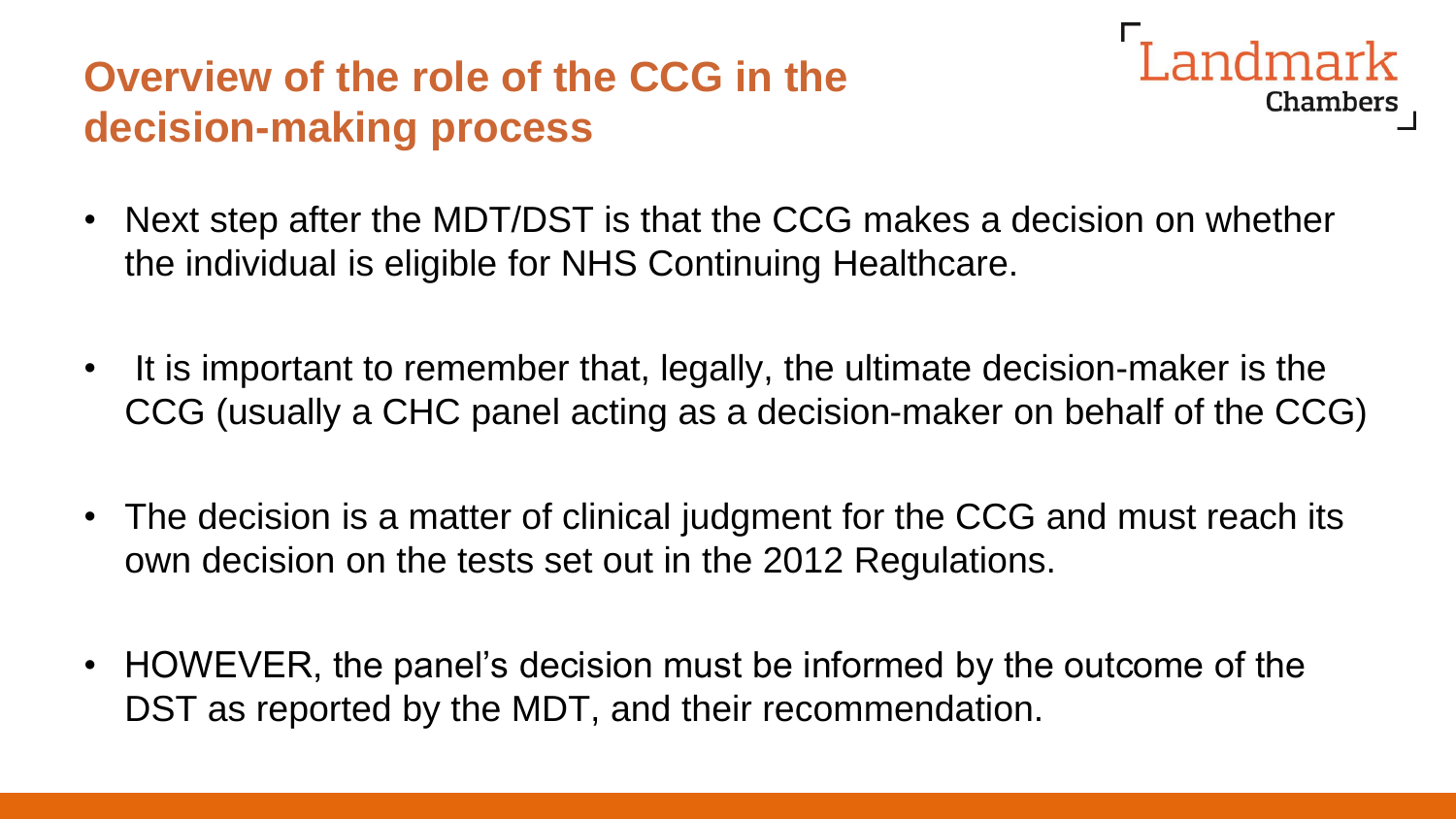# **Overview of the role of the CCG in the decision-making process**



- Next step after the MDT/DST is that the CCG makes a decision on whether the individual is eligible for NHS Continuing Healthcare.
- It is important to remember that, legally, the ultimate decision-maker is the CCG (usually a CHC panel acting as a decision-maker on behalf of the CCG)
- The decision is a matter of clinical judgment for the CCG and must reach its own decision on the tests set out in the 2012 Regulations.
- HOWEVER, the panel's decision must be informed by the outcome of the DST as reported by the MDT, and their recommendation.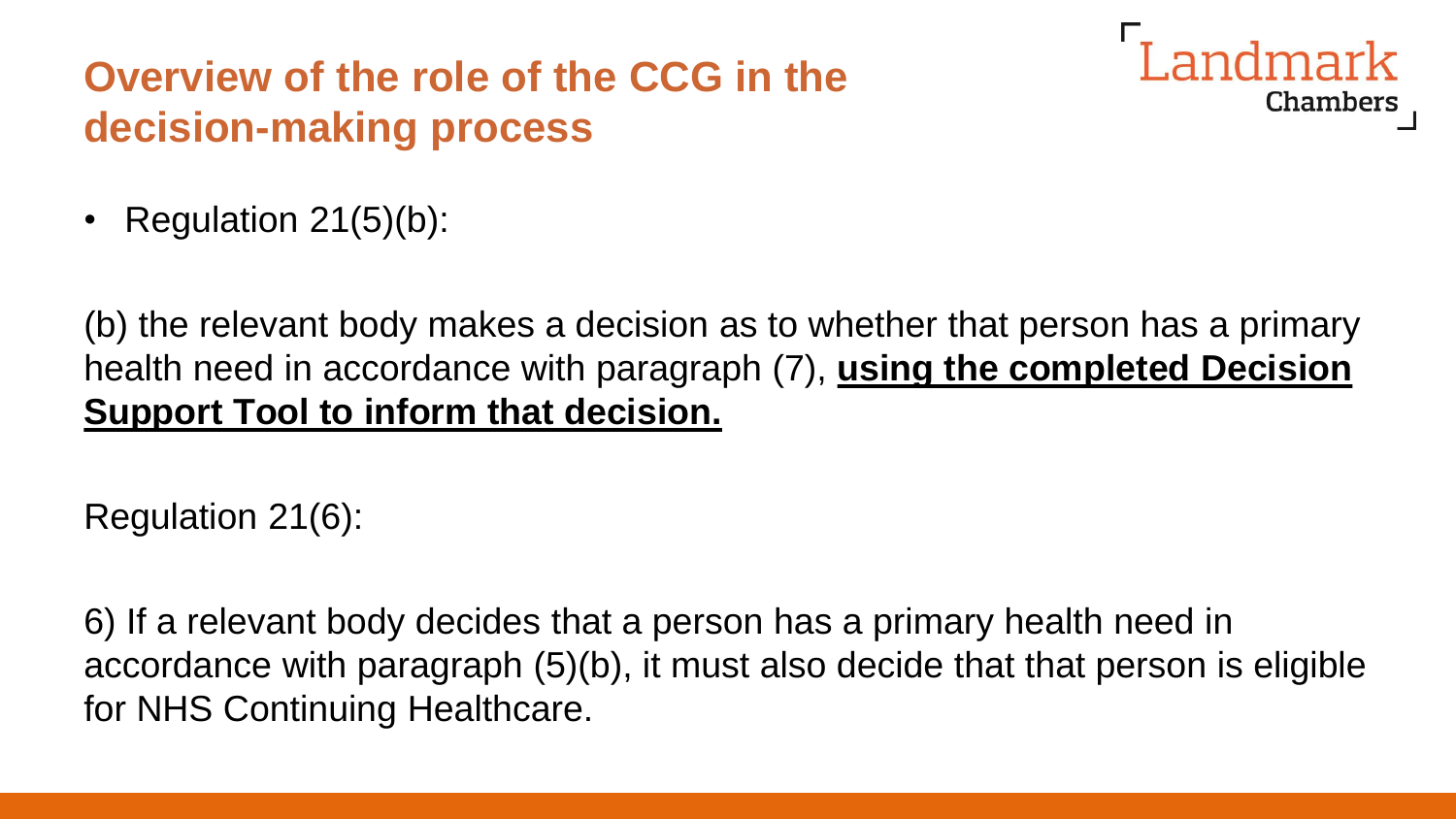# **Overview of the role of the CCG in the decision-making process**



• Regulation 21(5)(b):

(b) the relevant body makes a decision as to whether that person has a primary health need in accordance with paragraph (7), **using the completed Decision Support Tool to inform that decision.** 

Regulation 21(6):

6) If a relevant body decides that a person has a primary health need in accordance with paragraph (5)(b), it must also decide that that person is eligible for NHS Continuing Healthcare.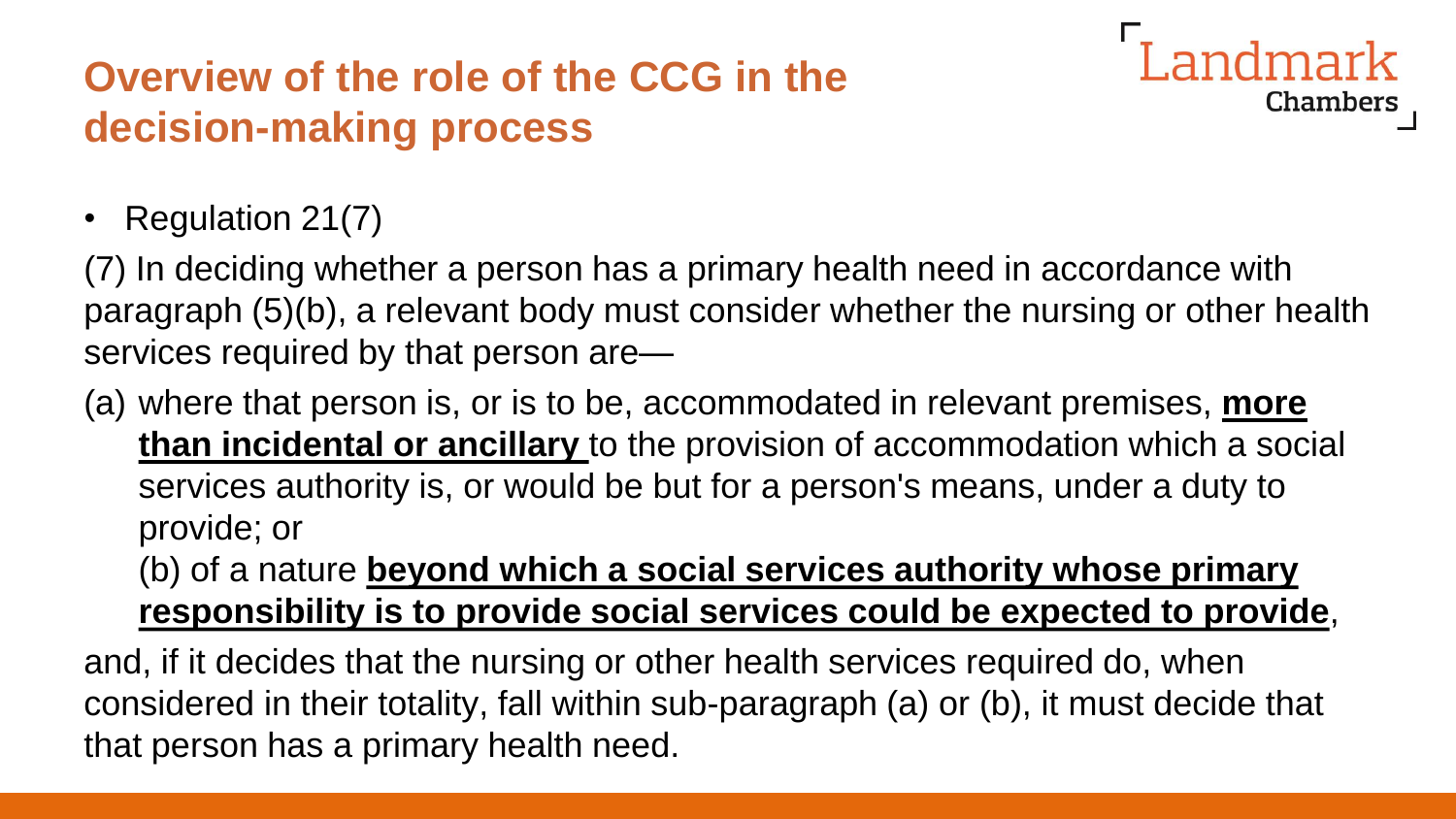# **Overview of the role of the CCG in the decision-making process**

andmark **Chambers** 

• Regulation 21(7)

(7) In deciding whether a person has a primary health need in accordance with paragraph (5)(b), a relevant body must consider whether the nursing or other health services required by that person are—

(a) where that person is, or is to be, accommodated in relevant premises, **more than incidental or ancillary** to the provision of accommodation which a social services authority is, or would be but for a person's means, under a duty to provide; or

(b) of a nature **beyond which a social services authority whose primary responsibility is to provide social services could be expected to provide**,

and, if it decides that the nursing or other health services required do, when considered in their totality, fall within sub-paragraph (a) or (b), it must decide that that person has a primary health need.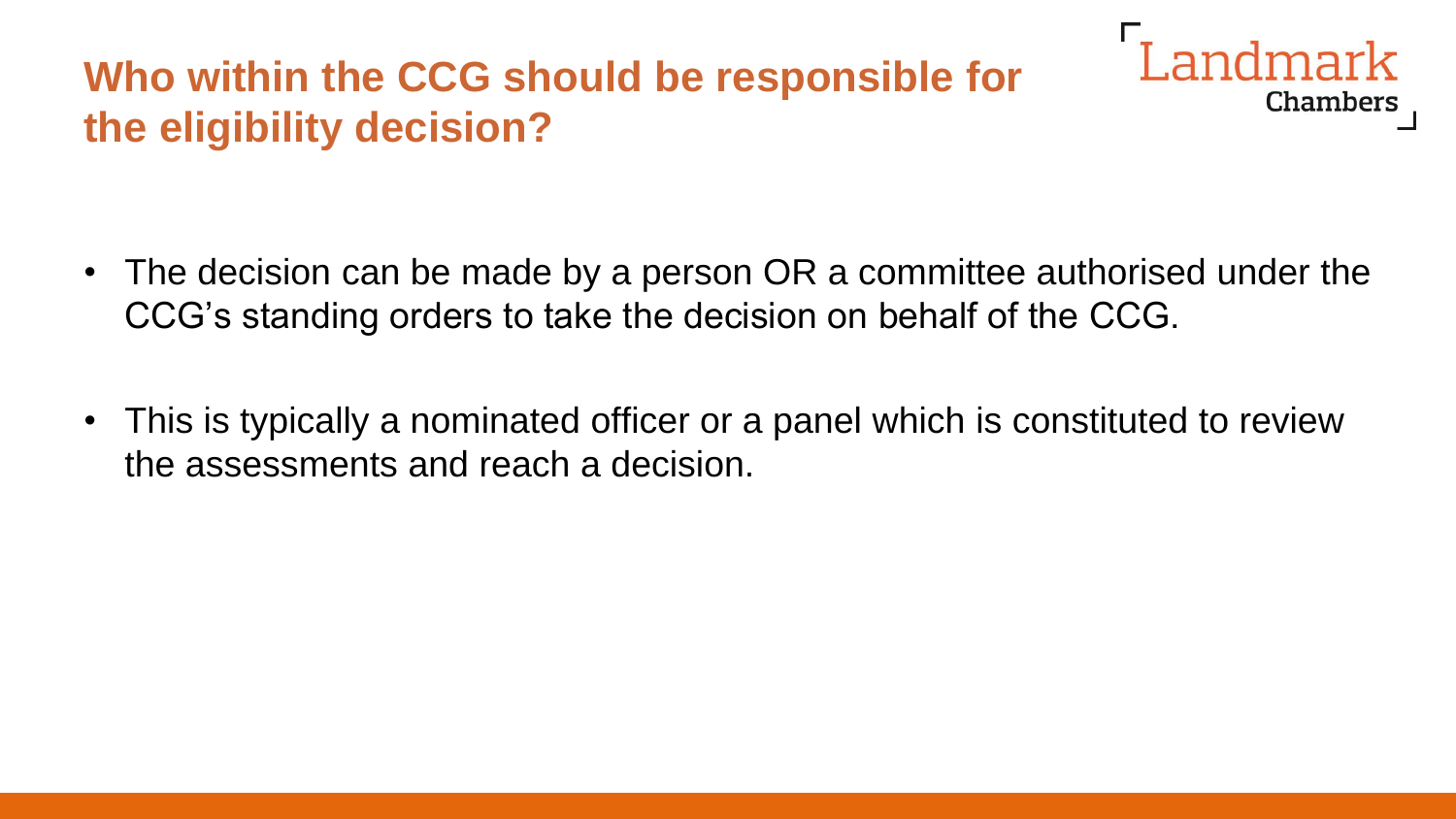# **Who within the CCG should be responsible for the eligibility decision?**

Landmark Chambers

- The decision can be made by a person OR a committee authorised under the CCG's standing orders to take the decision on behalf of the CCG.
- This is typically a nominated officer or a panel which is constituted to review the assessments and reach a decision.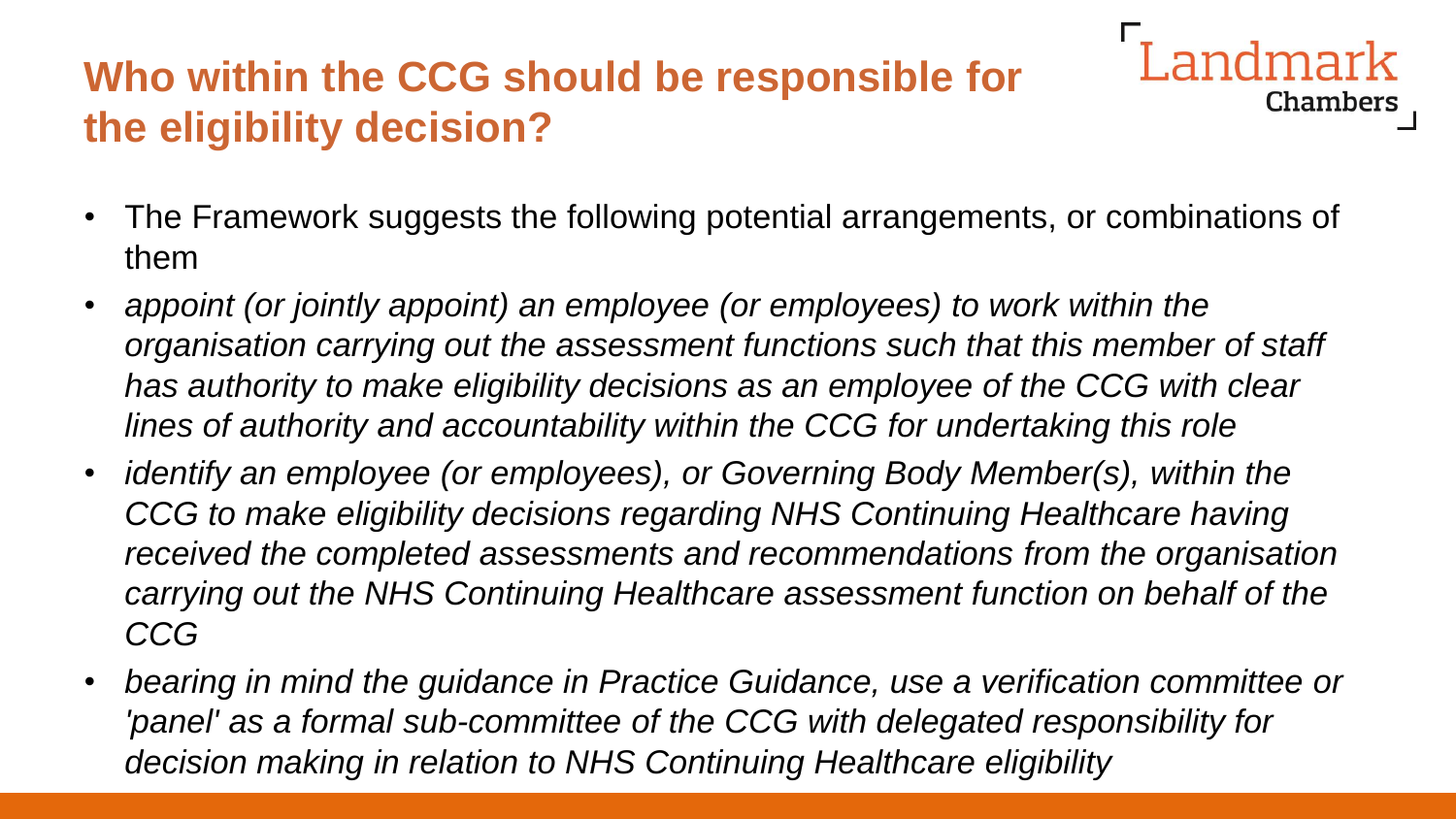## **Who within the CCG should be responsible for the eligibility decision?**

• The Framework suggests the following potential arrangements, or combinations of them

- *appoint (or jointly appoint) an employee (or employees) to work within the organisation carrying out the assessment functions such that this member of staff has authority to make eligibility decisions as an employee of the CCG with clear lines of authority and accountability within the CCG for undertaking this role*
- *identify an employee (or employees), or Governing Body Member(s), within the CCG to make eligibility decisions regarding NHS Continuing Healthcare having received the completed assessments and recommendations from the organisation carrying out the NHS Continuing Healthcare assessment function on behalf of the CCG*
- *bearing in mind the guidance in Practice Guidance, use a verification committee or*  'panel' as a formal sub-committee of the CCG with delegated responsibility for *decision making in relation to NHS Continuing Healthcare eligibility*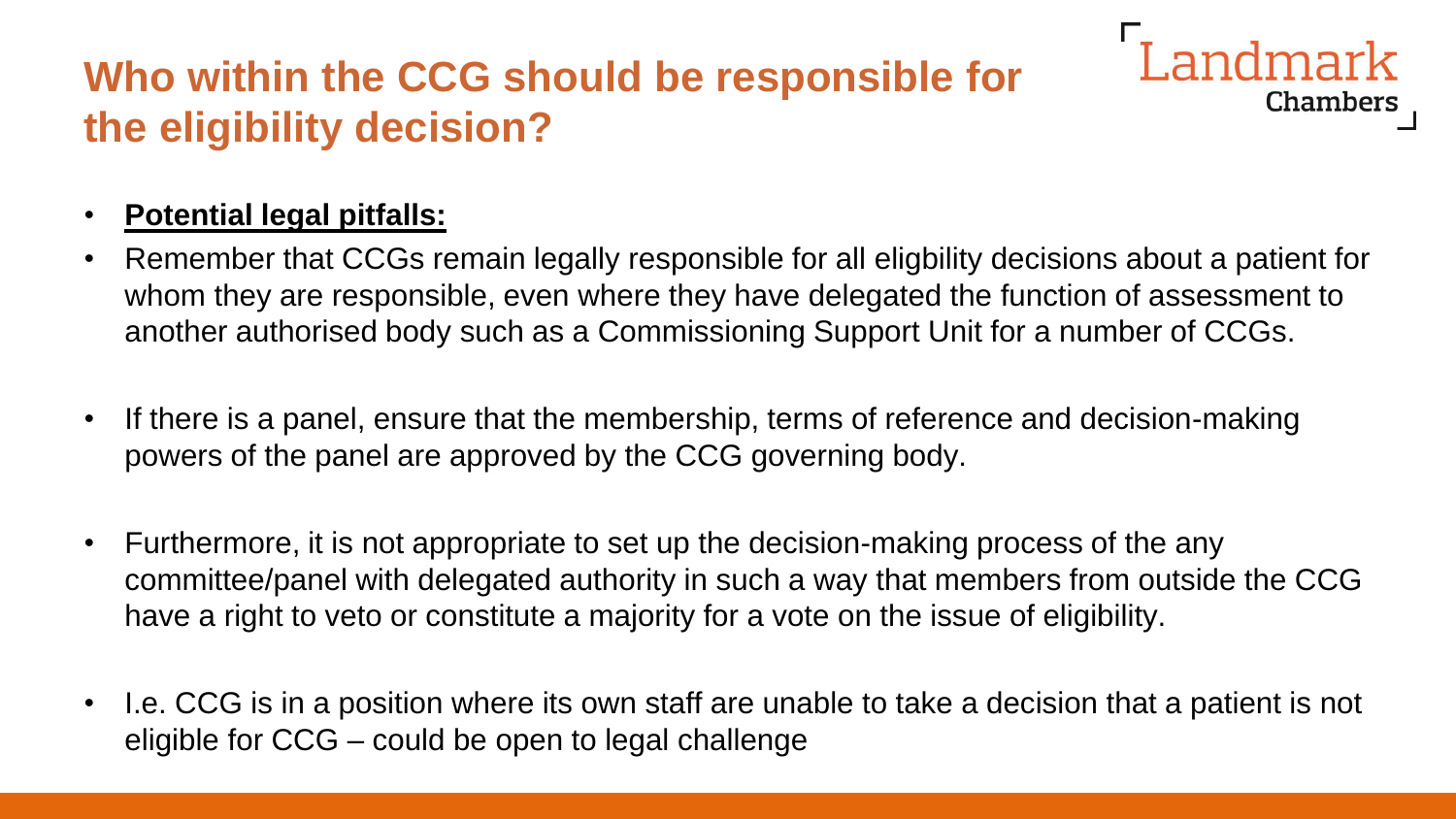# **Who within the CCG should be responsible for the eligibility decision?**

#### • **Potential legal pitfalls:**

• Remember that CCGs remain legally responsible for all eligbility decisions about a patient for whom they are responsible, even where they have delegated the function of assessment to another authorised body such as a Commissioning Support Unit for a number of CCGs.

**Landmark** 

- If there is a panel, ensure that the membership, terms of reference and decision-making powers of the panel are approved by the CCG governing body.
- Furthermore, it is not appropriate to set up the decision-making process of the any committee/panel with delegated authority in such a way that members from outside the CCG have a right to veto or constitute a majority for a vote on the issue of eligibility.
- I.e. CCG is in a position where its own staff are unable to take a decision that a patient is not eligible for CCG – could be open to legal challenge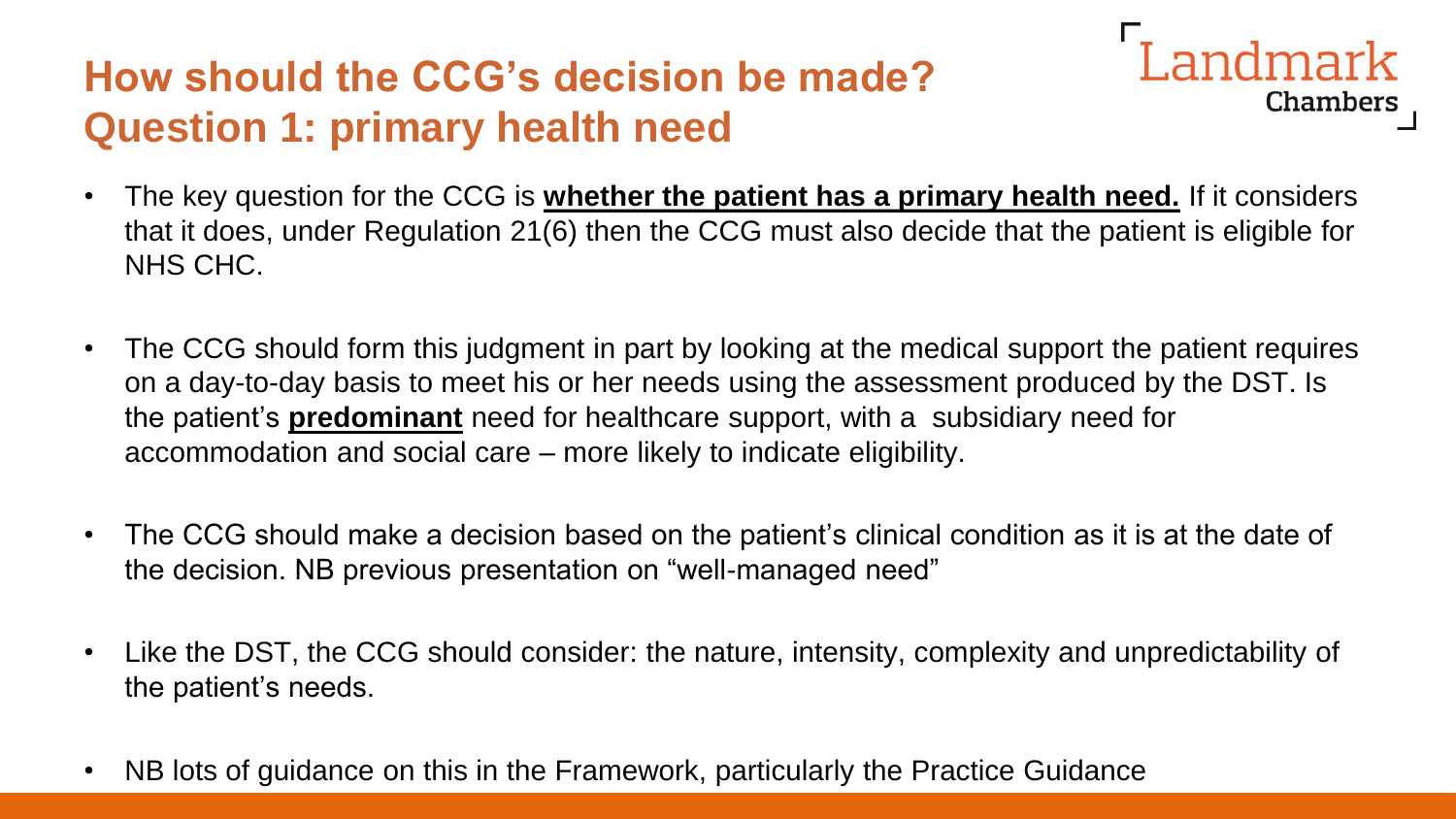#### **How should the CCG's decision be made? Question 1: primary health need**

Chambers

Landmark

- The key question for the CCG is **whether the patient has a primary health need.** If it considers that it does, under Regulation 21(6) then the CCG must also decide that the patient is eligible for NHS CHC.
- The CCG should form this judgment in part by looking at the medical support the patient requires on a day-to-day basis to meet his or her needs using the assessment produced by the DST. Is the patient's **predominant** need for healthcare support, with a subsidiary need for accommodation and social care – more likely to indicate eligibility.
- The CCG should make a decision based on the patient's clinical condition as it is at the date of the decision. NB previous presentation on "well-managed need"
- Like the DST, the CCG should consider: the nature, intensity, complexity and unpredictability of the patient's needs.
- NB lots of guidance on this in the Framework, particularly the Practice Guidance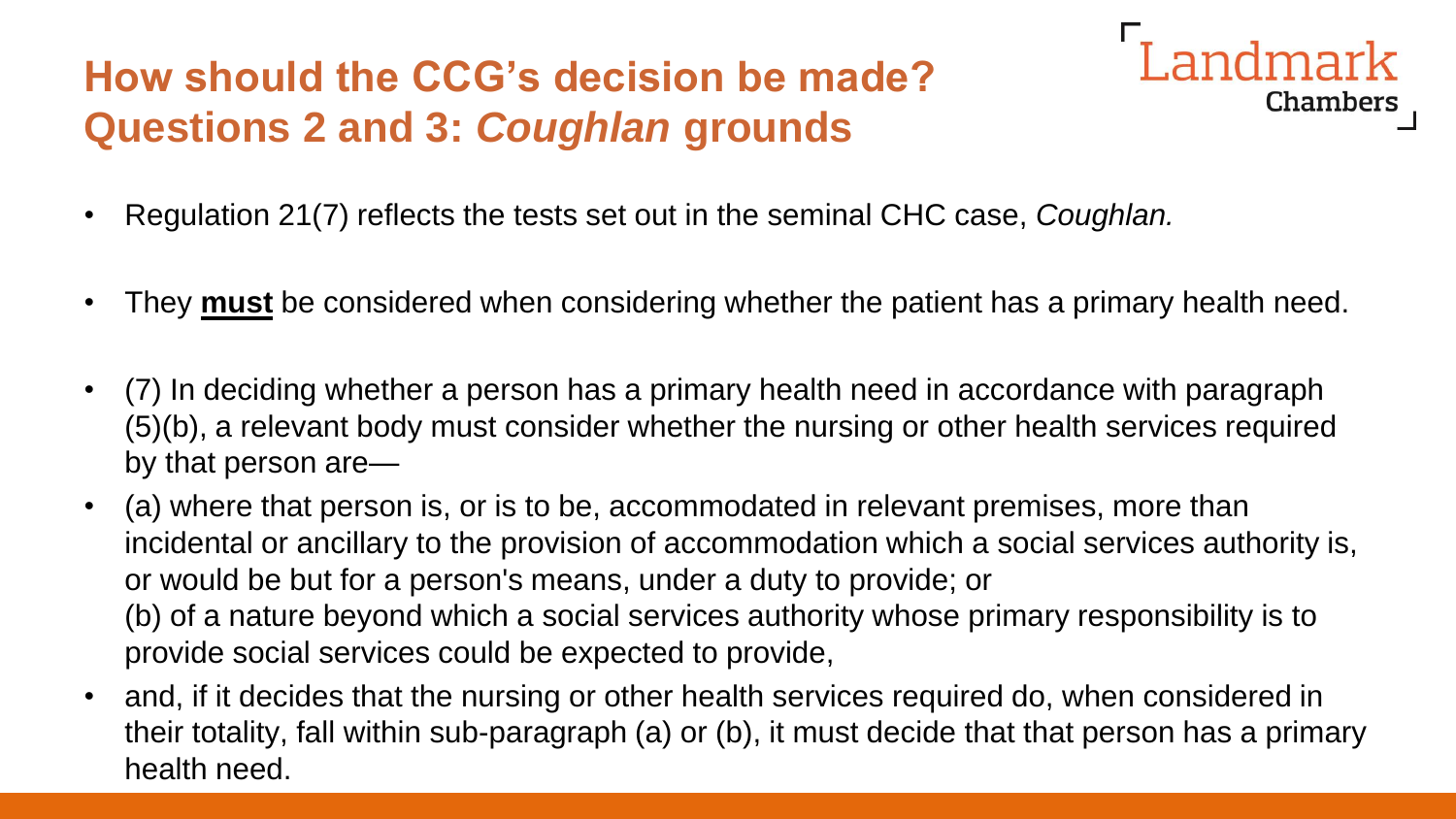# **How should the CCG's decision be made? Questions 2 and 3:** *Coughlan* **grounds**



- Regulation 21(7) reflects the tests set out in the seminal CHC case, *Coughlan.*
- They **must** be considered when considering whether the patient has a primary health need.
- (7) In deciding whether a person has a primary health need in accordance with paragraph (5)(b), a relevant body must consider whether the nursing or other health services required by that person are—
- (a) where that person is, or is to be, accommodated in relevant premises, more than incidental or ancillary to the provision of accommodation which a social services authority is, or would be but for a person's means, under a duty to provide; or (b) of a nature beyond which a social services authority whose primary responsibility is to provide social services could be expected to provide,
- and, if it decides that the nursing or other health services required do, when considered in their totality, fall within sub-paragraph (a) or (b), it must decide that that person has a primary health need.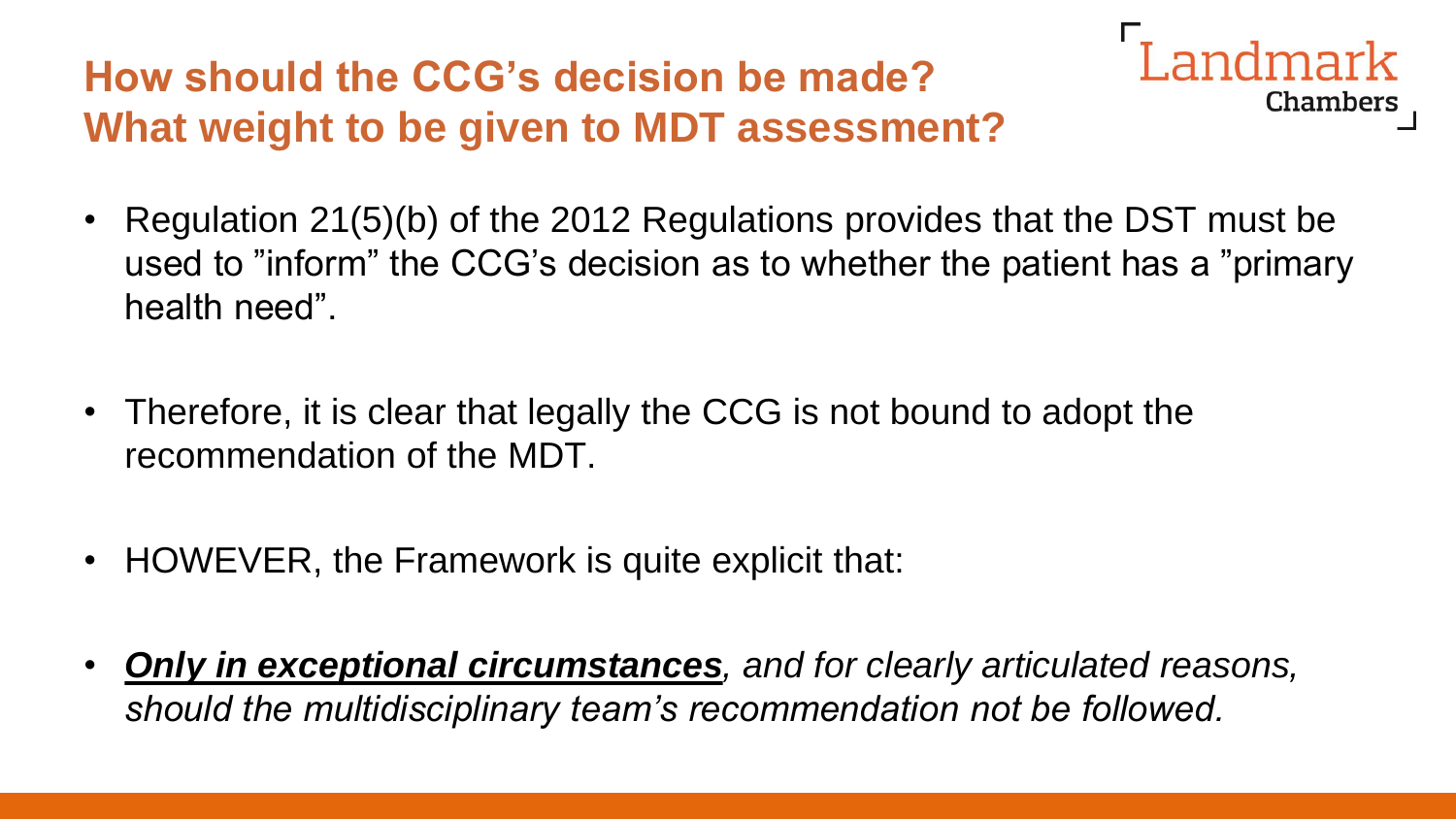# **How should the CCG's decision be made? What weight to be given to MDT assessment?**



- Regulation 21(5)(b) of the 2012 Regulations provides that the DST must be used to "inform" the CCG's decision as to whether the patient has a "primary health need".
- Therefore, it is clear that legally the CCG is not bound to adopt the recommendation of the MDT.
- HOWEVER, the Framework is quite explicit that:
- *Only in exceptional circumstances, and for clearly articulated reasons, should the multidisciplinary team's recommendation not be followed.*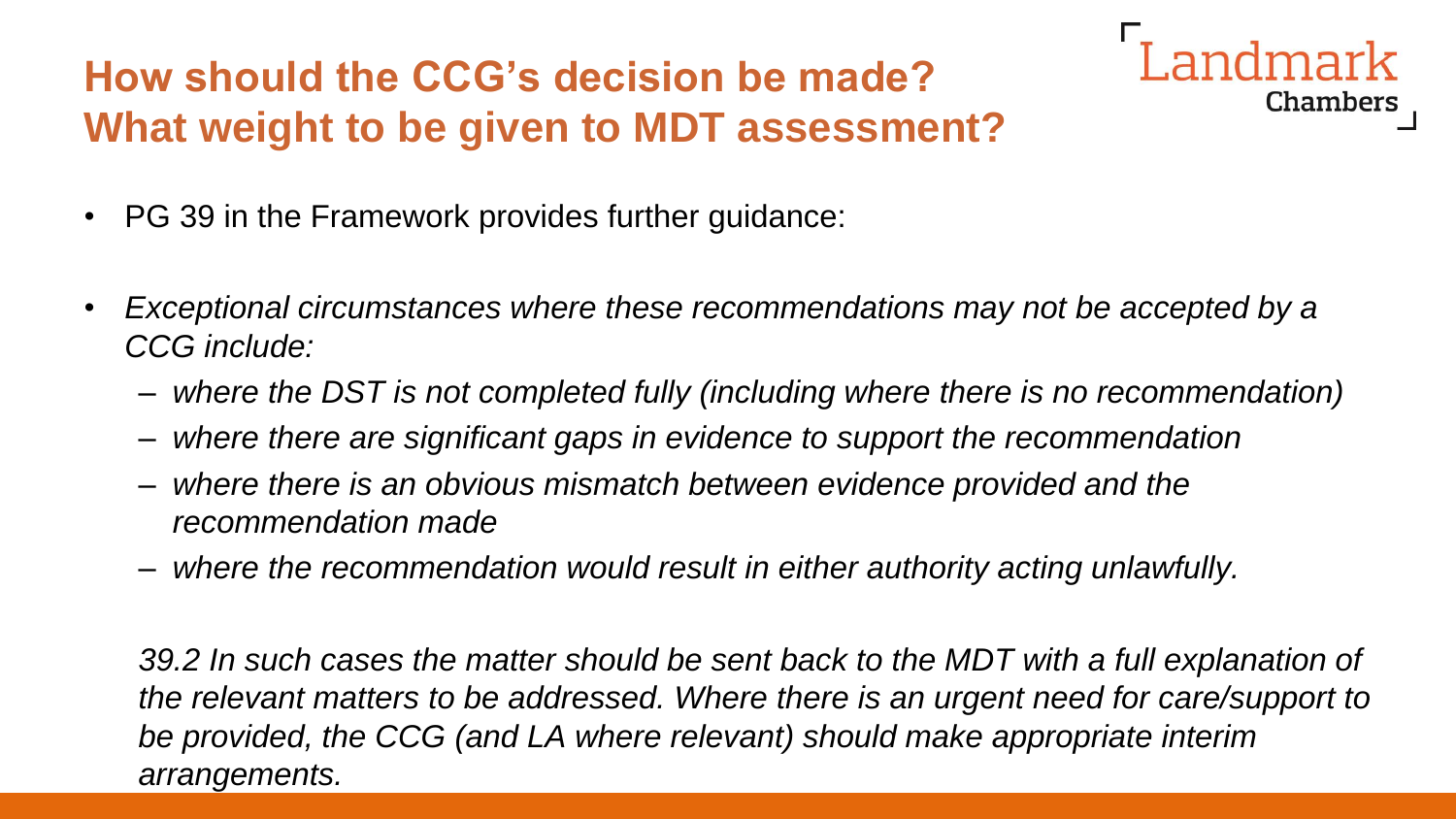# **How should the CCG's decision be made? What weight to be given to MDT assessment?**



- PG 39 in the Framework provides further guidance:
- *Exceptional circumstances where these recommendations may not be accepted by a CCG include:* 
	- *where the DST is not completed fully (including where there is no recommendation)*
	- *where there are significant gaps in evidence to support the recommendation*
	- *where there is an obvious mismatch between evidence provided and the recommendation made*
	- *where the recommendation would result in either authority acting unlawfully.*

*39.2 In such cases the matter should be sent back to the MDT with a full explanation of the relevant matters to be addressed. Where there is an urgent need for care/support to be provided, the CCG (and LA where relevant) should make appropriate interim arrangements.*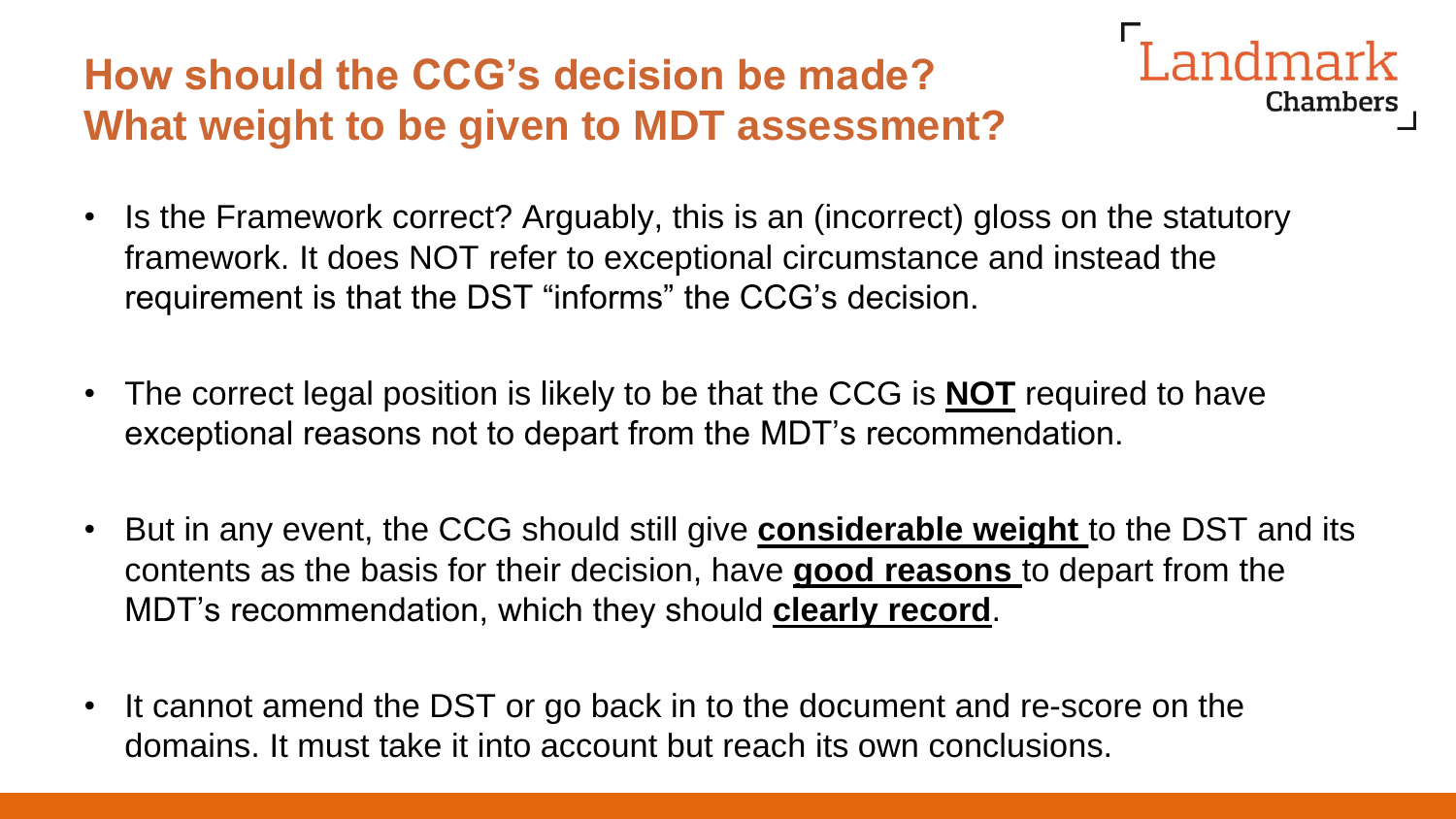# **How should the CCG's decision be made? What weight to be given to MDT assessment?**



- Is the Framework correct? Arguably, this is an (incorrect) gloss on the statutory framework. It does NOT refer to exceptional circumstance and instead the requirement is that the DST "informs" the CCG's decision.
- The correct legal position is likely to be that the CCG is **NOT** required to have exceptional reasons not to depart from the MDT's recommendation.
- But in any event, the CCG should still give **considerable weight** to the DST and its contents as the basis for their decision, have **good reasons** to depart from the MDT's recommendation, which they should **clearly record**.
- It cannot amend the DST or go back in to the document and re-score on the domains. It must take it into account but reach its own conclusions.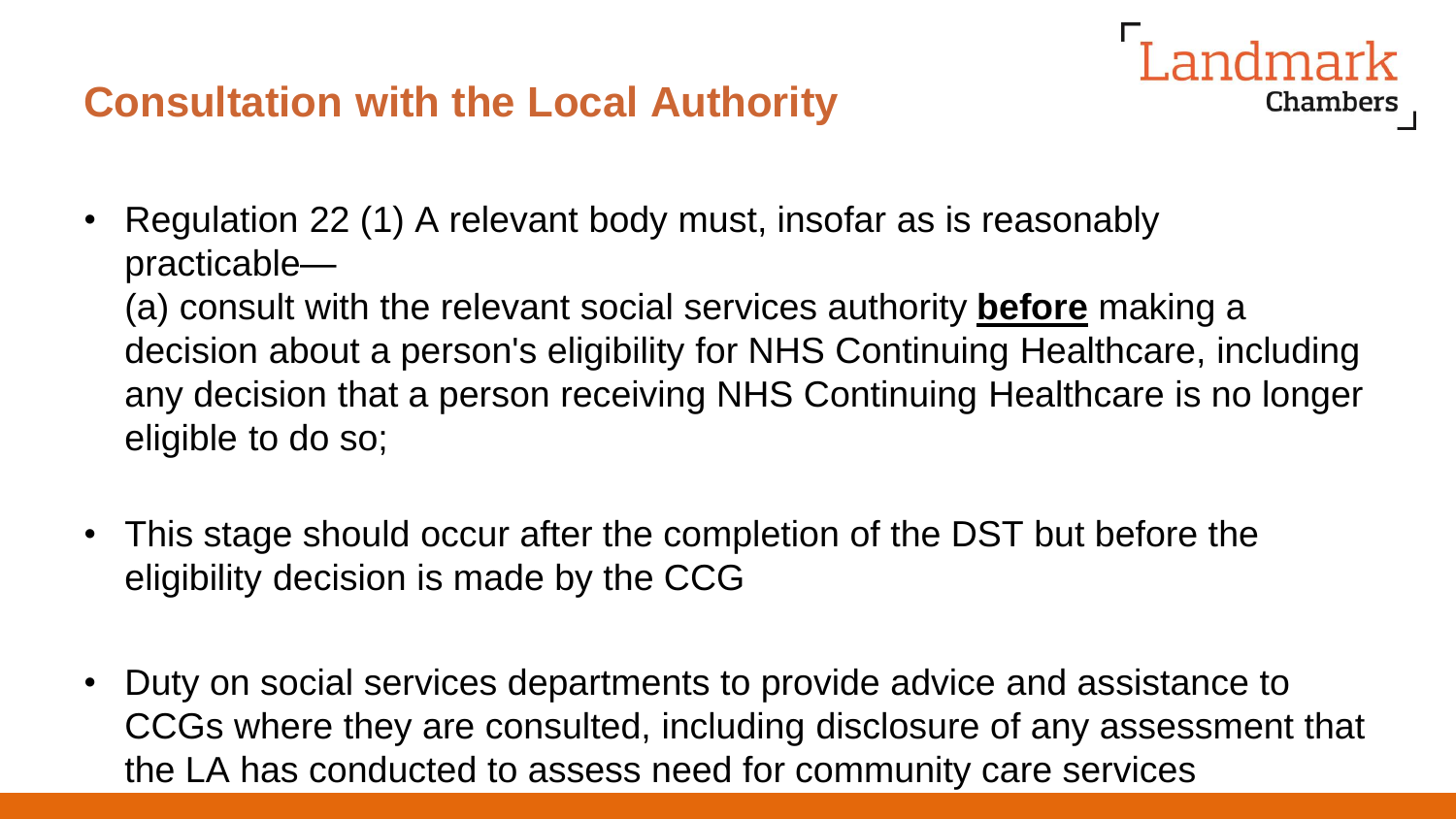#### **Consultation with the Local Authority**

• Regulation 22 (1) A relevant body must, insofar as is reasonably practicable—

(a) consult with the relevant social services authority **before** making a decision about a person's eligibility for NHS Continuing Healthcare, including any decision that a person receiving NHS Continuing Healthcare is no longer eligible to do so;

andmark

- This stage should occur after the completion of the DST but before the eligibility decision is made by the CCG
- Duty on social services departments to provide advice and assistance to CCGs where they are consulted, including disclosure of any assessment that the LA has conducted to assess need for community care services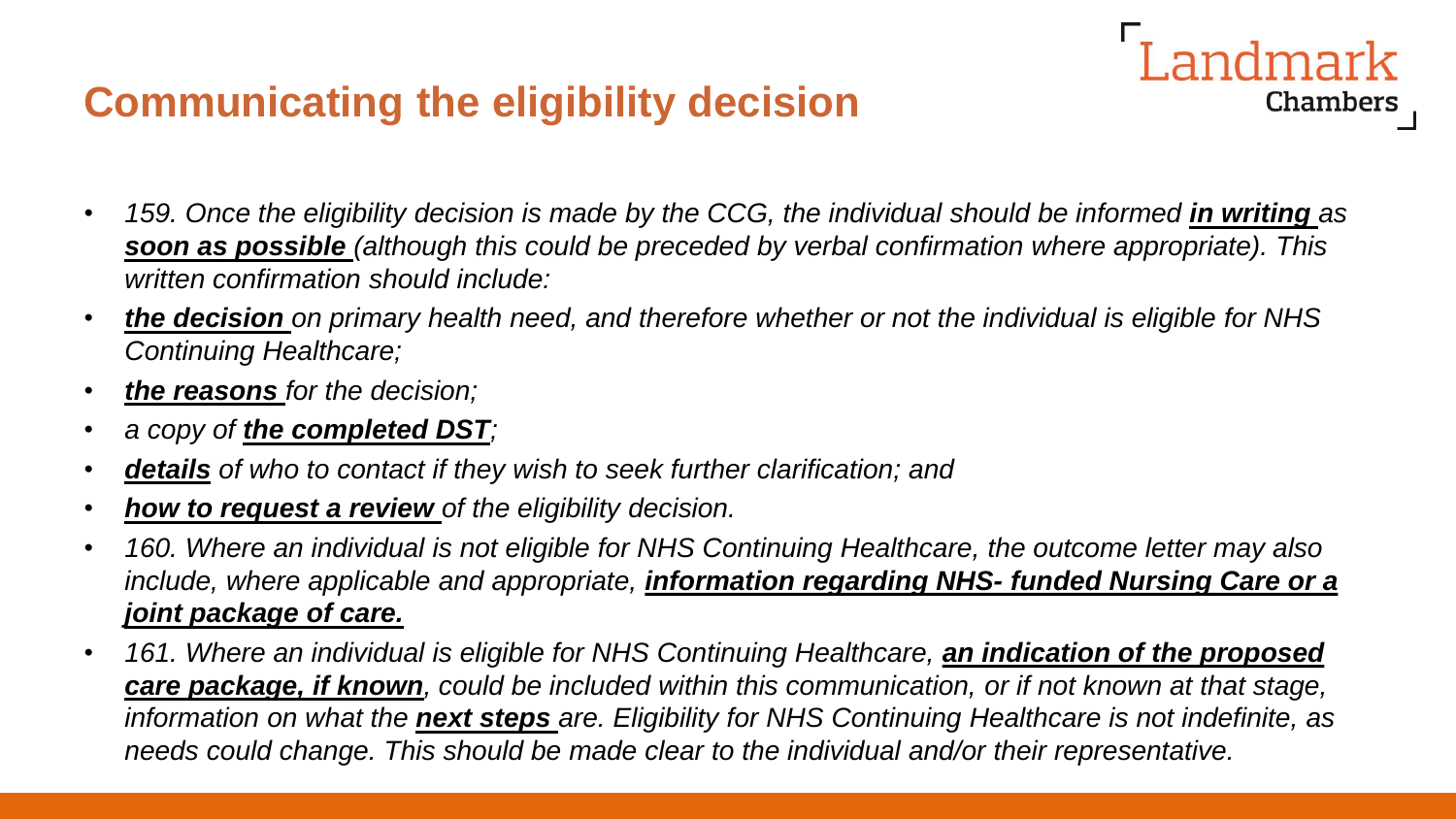#### **Communicating the eligibility decision**

• 159. Once the eligibility decision is made by the CCG, the individual should be informed *in writing* as *soon as possible (although this could be preceded by verbal confirmation where appropriate). This written confirmation should include:* 

**Landmark** 

- *the decision on primary health need, and therefore whether or not the individual is eligible for NHS Continuing Healthcare;*
- *the reasons for the decision;*
- *a copy of the completed DST;*
- *details of who to contact if they wish to seek further clarification; and*
- *how to request a review of the eligibility decision.*
- *160. Where an individual is not eligible for NHS Continuing Healthcare, the outcome letter may also include, where applicable and appropriate, information regarding NHS- funded Nursing Care or a joint package of care.*
- **161. Where an individual is eligible for NHS Continuing Healthcare, an indication of the proposed** *care package, if known, could be included within this communication, or if not known at that stage, information on what the next steps are. Eligibility for NHS Continuing Healthcare is not indefinite, as needs could change. This should be made clear to the individual and/or their representative.*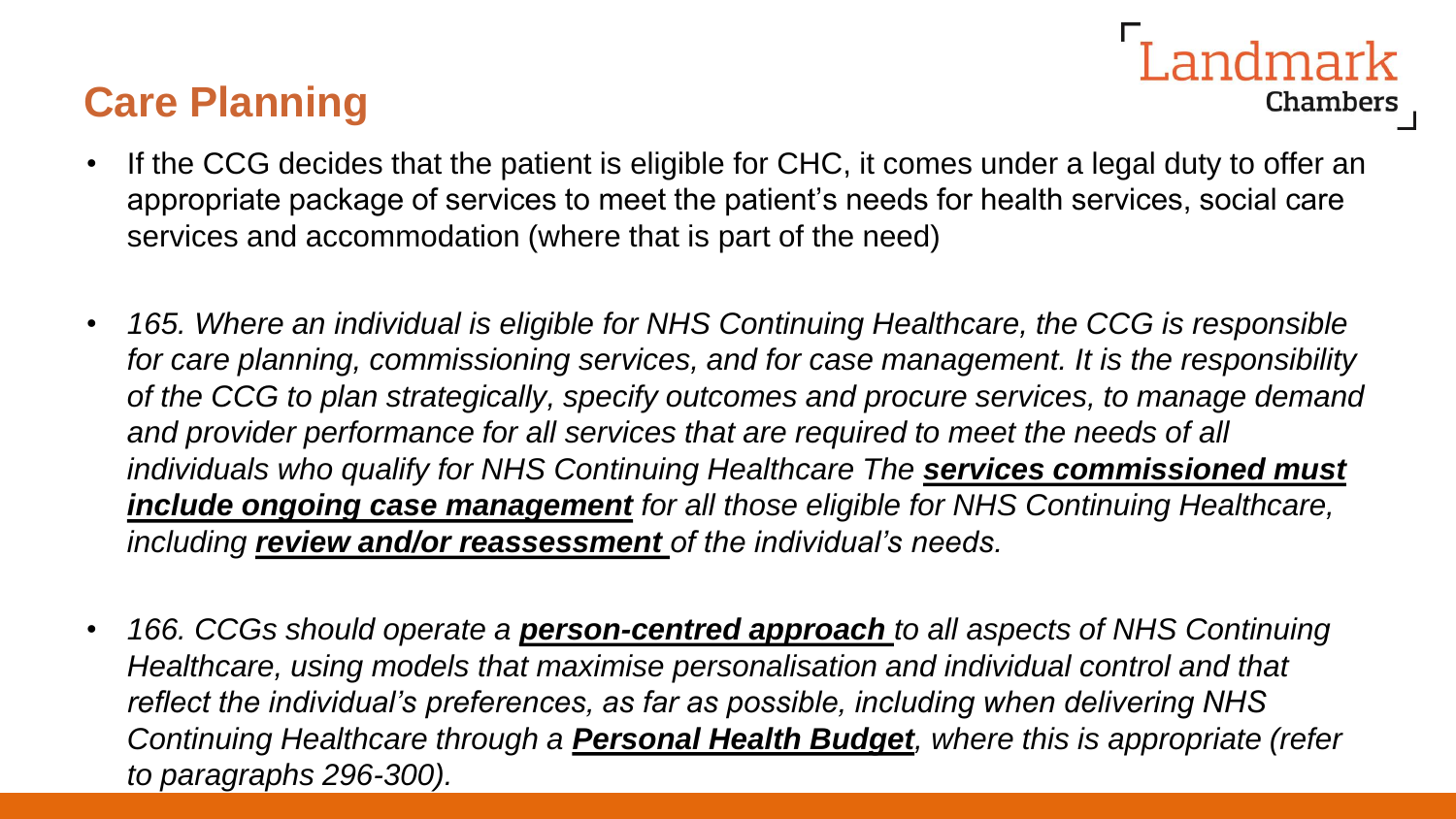#### **Care Planning**

- andmark Chambers
- If the CCG decides that the patient is eligible for CHC, it comes under a legal duty to offer an appropriate package of services to meet the patient's needs for health services, social care services and accommodation (where that is part of the need)
- *165. Where an individual is eligible for NHS Continuing Healthcare, the CCG is responsible for care planning, commissioning services, and for case management. It is the responsibility of the CCG to plan strategically, specify outcomes and procure services, to manage demand and provider performance for all services that are required to meet the needs of all individuals who qualify for NHS Continuing Healthcare The services commissioned must include ongoing case management for all those eligible for NHS Continuing Healthcare, including review and/or reassessment of the individual's needs.*
- *166. CCGs should operate a person-centred approach to all aspects of NHS Continuing Healthcare, using models that maximise personalisation and individual control and that reflect the individual's preferences, as far as possible, including when delivering NHS Continuing Healthcare through a Personal Health Budget, where this is appropriate (refer to paragraphs 296-300).*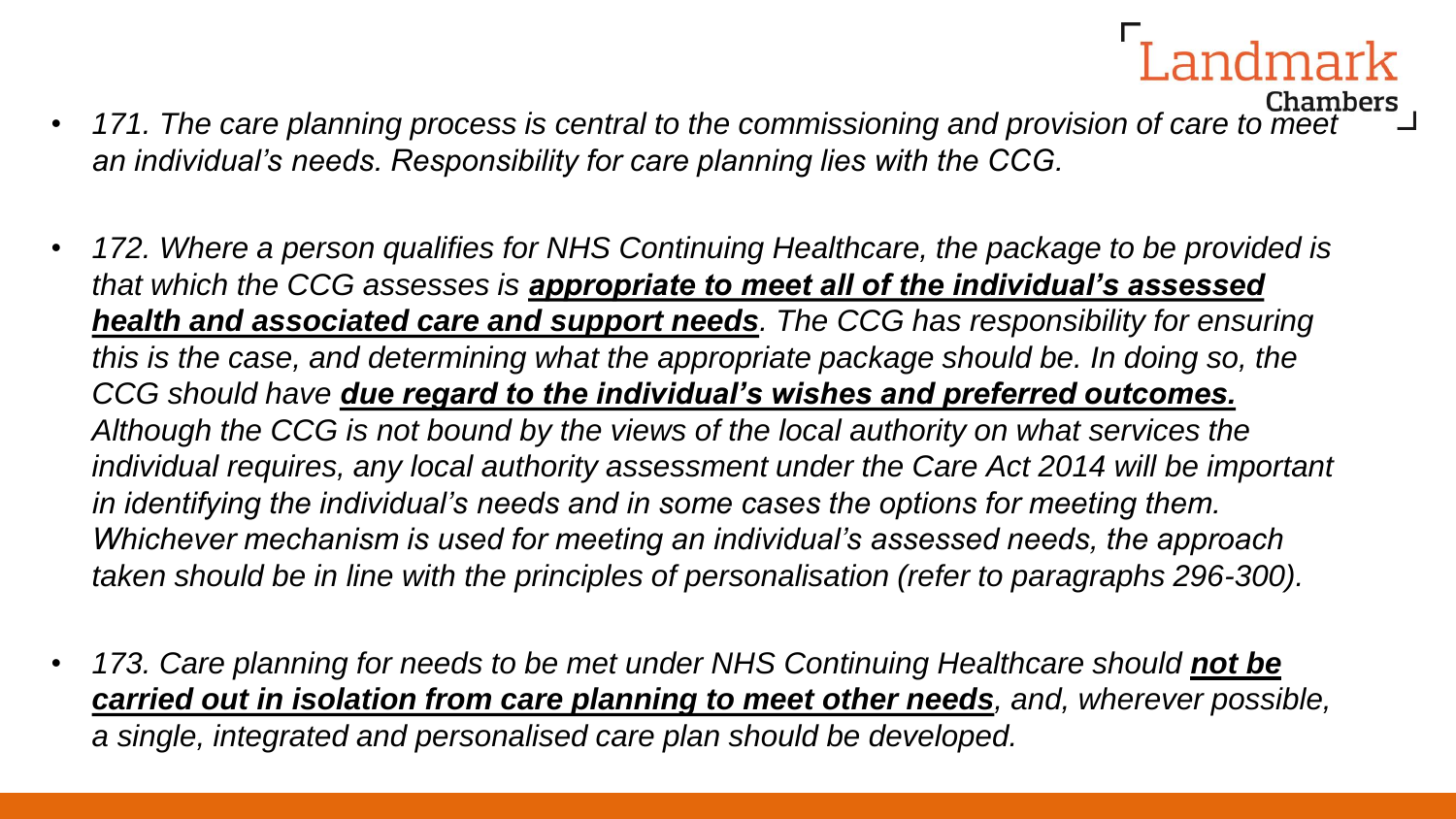- *171. The care planning process is central to the commissioning and provision of care to meet an individual's needs. Responsibility for care planning lies with the CCG.*
- *172. Where a person qualifies for NHS Continuing Healthcare, the package to be provided is that which the CCG assesses is appropriate to meet all of the individual's assessed health and associated care and support needs. The CCG has responsibility for ensuring this is the case, and determining what the appropriate package should be. In doing so, the CCG should have due regard to the individual's wishes and preferred outcomes. Although the CCG is not bound by the views of the local authority on what services the individual requires, any local authority assessment under the Care Act 2014 will be important in identifying the individual's needs and in some cases the options for meeting them. Whichever mechanism is used for meeting an individual's assessed needs, the approach taken should be in line with the principles of personalisation (refer to paragraphs 296-300).*
- 173. Care planning for needs to be met under NHS Continuing Healthcare should not be *carried out in isolation from care planning to meet other needs, and, wherever possible, a single, integrated and personalised care plan should be developed.*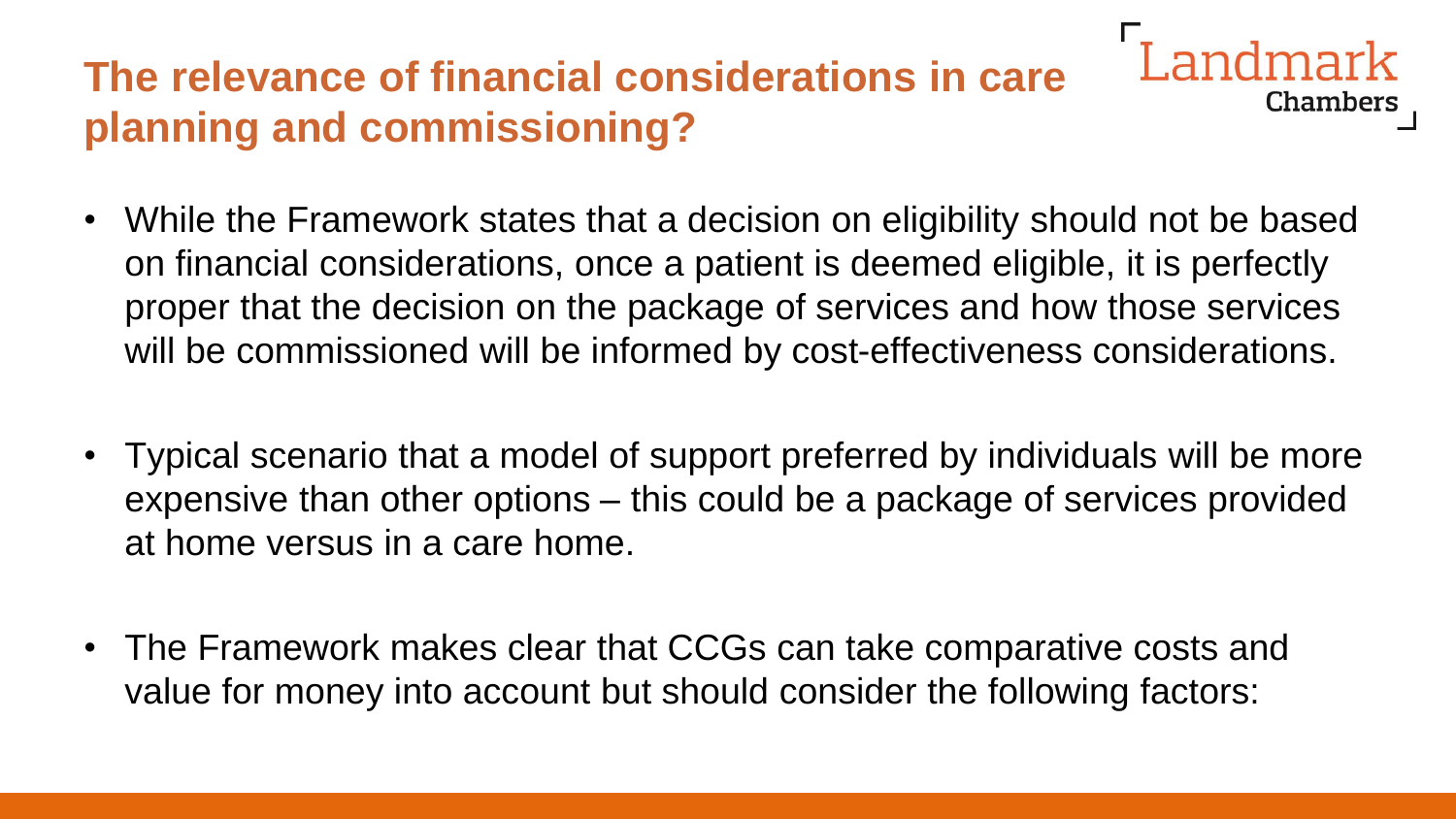# **The relevance of financial considerations in care planning and commissioning?**

• While the Framework states that a decision on eligibility should not be based on financial considerations, once a patient is deemed eligible, it is perfectly proper that the decision on the package of services and how those services will be commissioned will be informed by cost-effectiveness considerations.

- Typical scenario that a model of support preferred by individuals will be more expensive than other options – this could be a package of services provided at home versus in a care home.
- The Framework makes clear that CCGs can take comparative costs and value for money into account but should consider the following factors: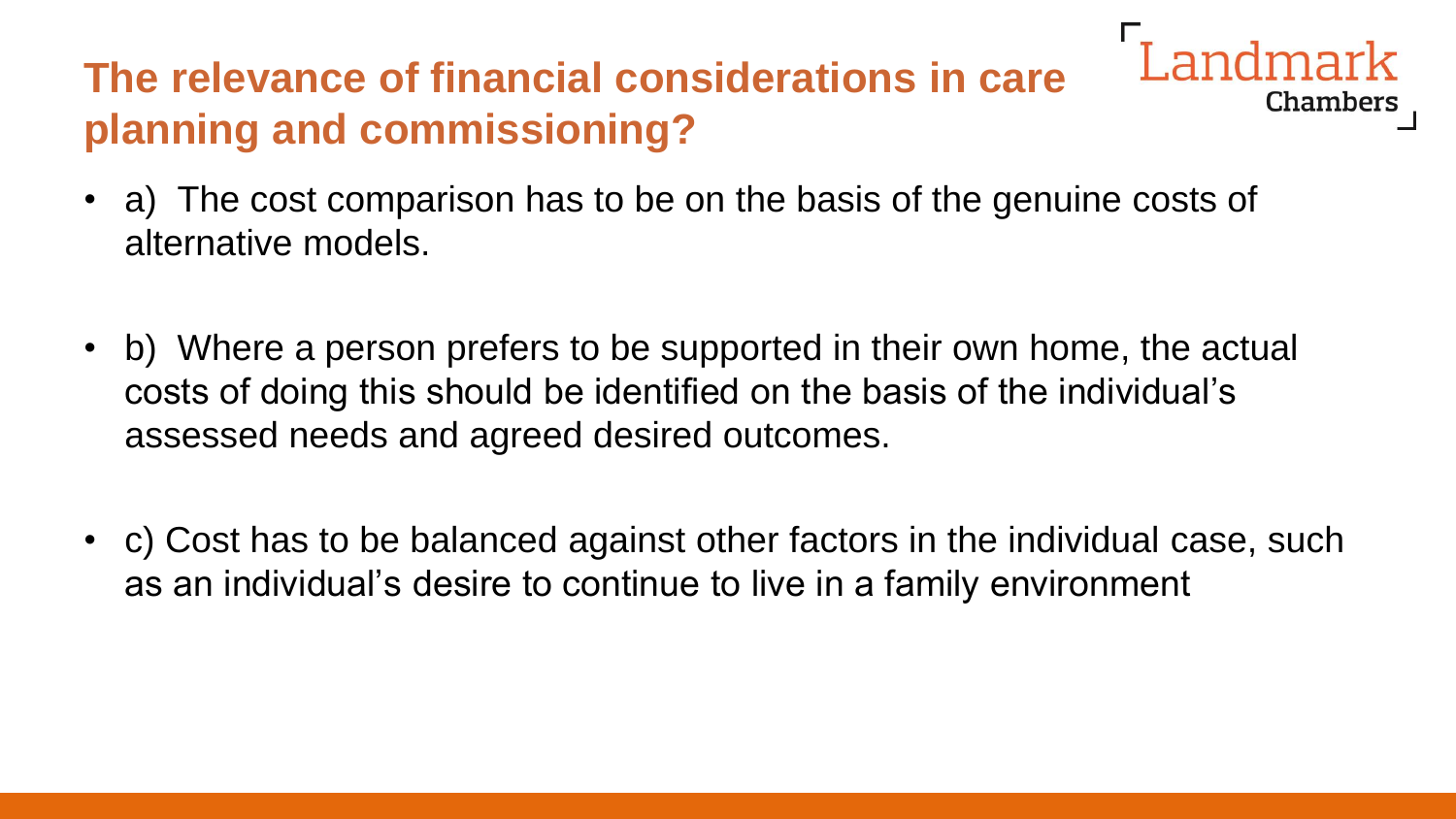#### **The relevance of financial considerations in care planning and commissioning?**

• a) The cost comparison has to be on the basis of the genuine costs of alternative models.

- b) Where a person prefers to be supported in their own home, the actual costs of doing this should be identified on the basis of the individual's assessed needs and agreed desired outcomes.
- c) Cost has to be balanced against other factors in the individual case, such as an individual's desire to continue to live in a family environment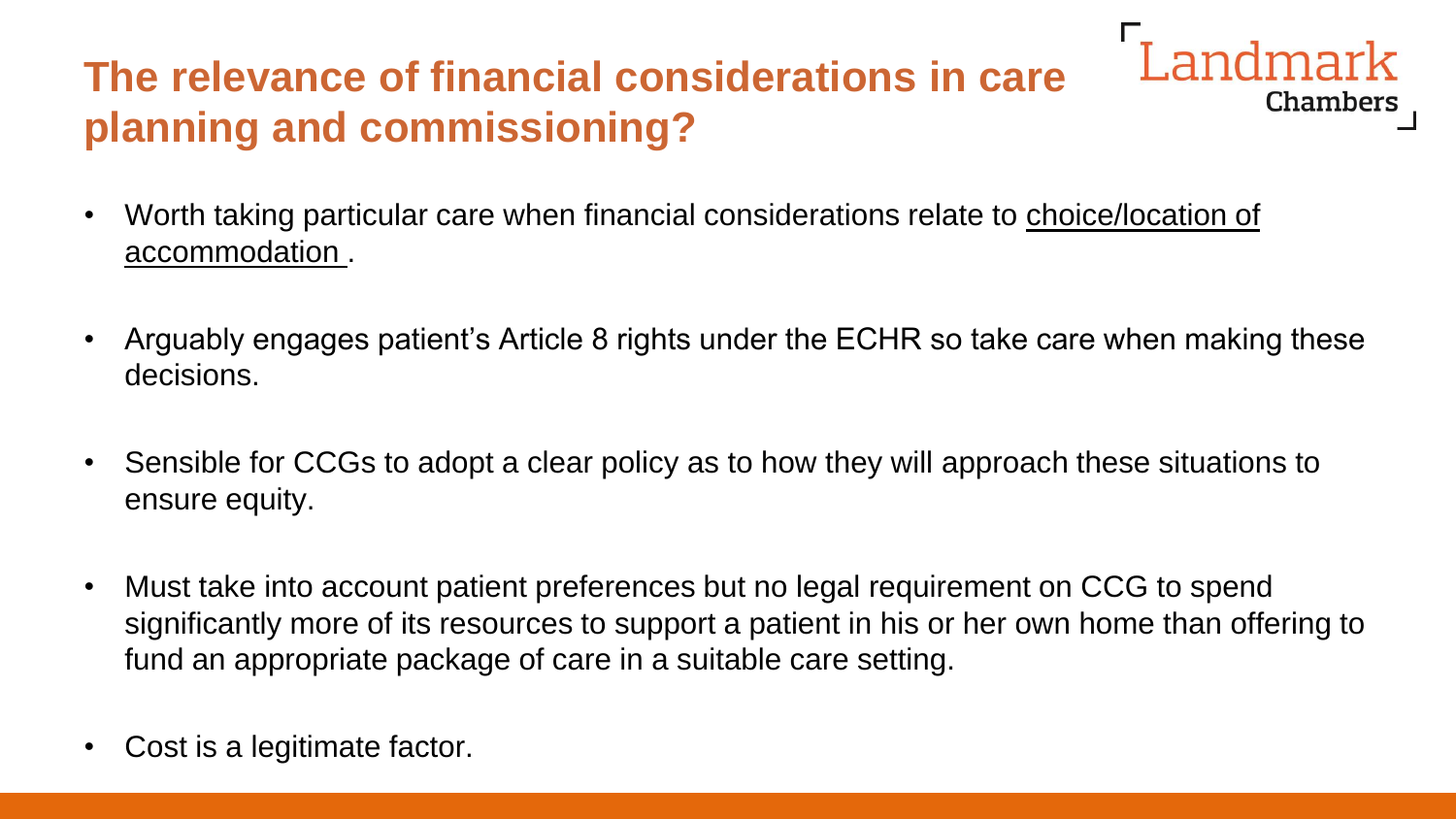# **The relevance of financial considerations in care planning and commissioning?**

- Worth taking particular care when financial considerations relate to choice/location of accommodation .
- Arguably engages patient's Article 8 rights under the ECHR so take care when making these decisions.

Landmark

- Sensible for CCGs to adopt a clear policy as to how they will approach these situations to ensure equity.
- Must take into account patient preferences but no legal requirement on CCG to spend significantly more of its resources to support a patient in his or her own home than offering to fund an appropriate package of care in a suitable care setting.
- Cost is a legitimate factor.